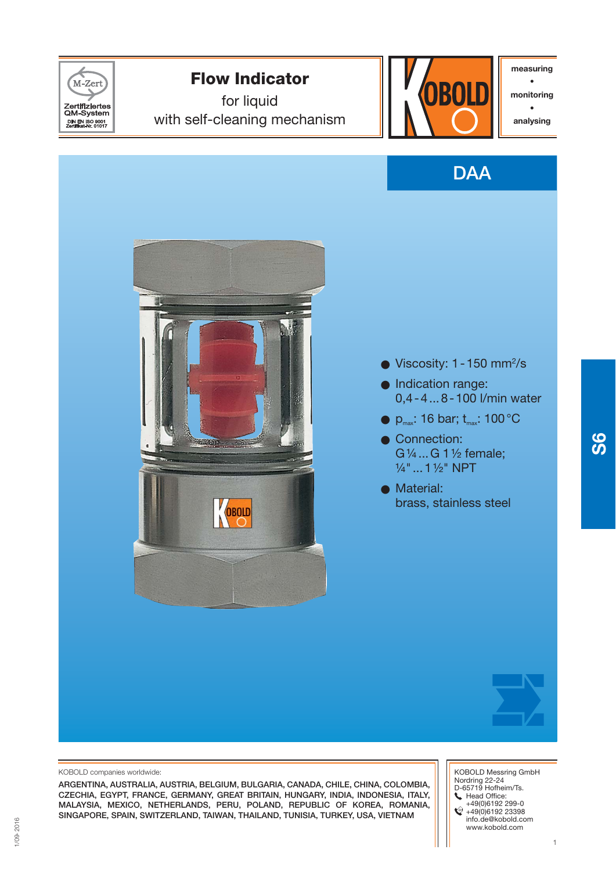

**measuring • monitoring • analysing**



**S6**

- 0,4 4 ... 8 100 l/min water
- $\bullet$  p<sub>max</sub>: 16 bar; t<sub>max</sub>: 100 °C
- G ¼ ... G 1 ½ female;
- brass, stainless steel

 KOBOLD Messring GmbH Nordring 22-24 D-65719 Hofheim/Ts. Head Office: +49(0)6192 299-0 +49(0)6192 23398 info.de@kobold.com

www.kobold.com

### KOBOLD companies worldwide:

**ARGENTINA, AUSTRALIA, AUSTRIA, BELGIUM, BULGARIA, CANADA, CHILE, CHINA, COLOMBIA, CZECHIA, EGYPT, FRANCE, GERMANY, GREAT BRITAIN, HUNGARY, INDIA, INDONESIA, ITALY, MALAYSIA, MEXICO, NETHERLANDS, PERU, POLAND, REPUBLIC OF KOREA, ROMANIA, SINGAPORE, SPAIN, SWITZERLAND, TAIWAN, THAILAND, TUNISIA, TURKEY, USA, VIETNAM**

1